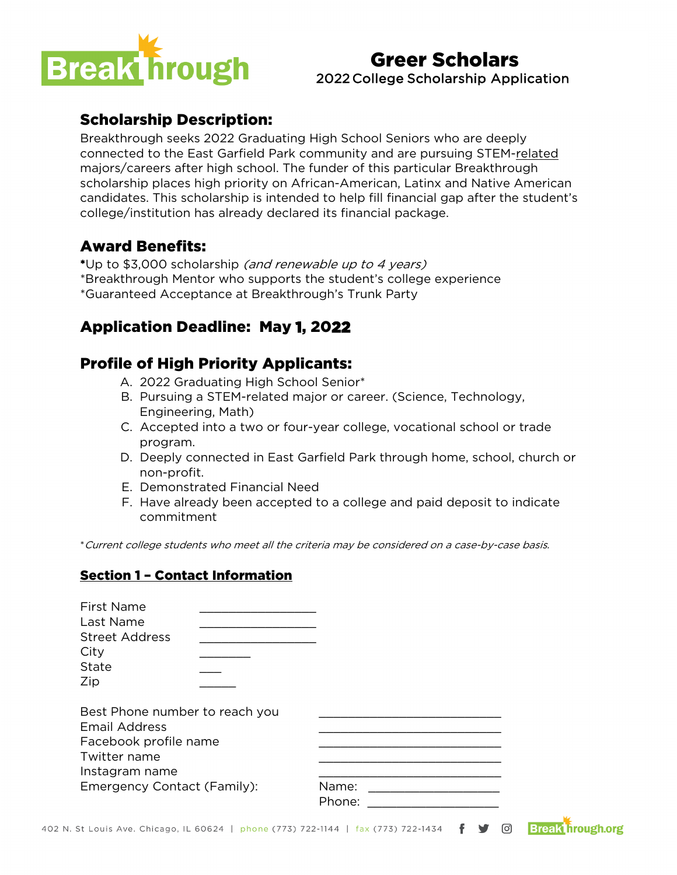

## Greer Scholars 2022 College Scholarship Application

## Scholarship Description:

Breakthrough seeks 2022 Graduating High School Seniors who are deeply connected to the East Garfield Park community and are pursuing STEM-related majors/careers after high school. The funder of this particular Breakthrough scholarship places high priority on African-American, Latinx and Native American candidates. This scholarship is intended to help fill financial gap after the student's college/institution has already declared its financial package.

## Award Benefits:

\*Up to \$3,000 scholarship (and renewable up to 4 years) \*Breakthrough Mentor who supports the student's college experience \*Guaranteed Acceptance at Breakthrough's Trunk Party

# Application Deadline: May 1, 2022

## Profile of High Priority Applicants:

- A. 2022 Graduating High School Senior\*
- B. Pursuing a STEM-related major or career. (Science, Technology, Engineering, Math)
- C. Accepted into a two or four-year college, vocational school or trade program.
- D. Deeply connected in East Garfield Park through home, school, church or non-profit.
- E. Demonstrated Financial Need
- F. Have already been accepted to a college and paid deposit to indicate commitment

\*Current college students who meet all the criteria may be considered on a case-by-case basis.

#### Section 1 – Contact Information

| <b>First Name</b><br>Last Name<br><b>Street Address</b><br>City<br><b>State</b><br>Zip                                                           |                 |  |
|--------------------------------------------------------------------------------------------------------------------------------------------------|-----------------|--|
| Best Phone number to reach you<br><b>Email Address</b><br>Facebook profile name<br>Twitter name<br>Instagram name<br>Emergency Contact (Family): | Name:<br>Phone: |  |